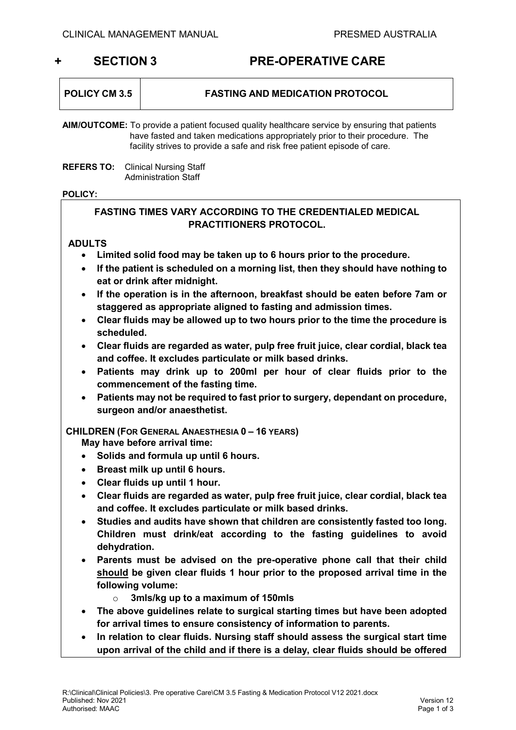# **+ SECTION 3 PRE-OPERATIVE CARE**

| <b>POLICY CM 3.5</b> | <b>FASTING AND MEDICATION PROTOCOL</b> |
|----------------------|----------------------------------------|
|                      |                                        |

**AIM/OUTCOME:** To provide a patient focused quality healthcare service by ensuring that patients have fasted and taken medications appropriately prior to their procedure. The facility strives to provide a safe and risk free patient episode of care.

**REFERS TO:** Clinical Nursing Staff Administration Staff

#### **POLICY:**

## **FASTING TIMES VARY ACCORDING TO THE CREDENTIALED MEDICAL PRACTITIONERS PROTOCOL.**

#### **ADULTS**

- **Limited solid food may be taken up to 6 hours prior to the procedure.**
- **If the patient is scheduled on a morning list, then they should have nothing to eat or drink after midnight.**
- **If the operation is in the afternoon, breakfast should be eaten before 7am or staggered as appropriate aligned to fasting and admission times.**
- **Clear fluids may be allowed up to two hours prior to the time the procedure is scheduled.**
- **Clear fluids are regarded as water, pulp free fruit juice, clear cordial, black tea and coffee. It excludes particulate or milk based drinks.**
- **Patients may drink up to 200ml per hour of clear fluids prior to the commencement of the fasting time.**
- **Patients may not be required to fast prior to surgery, dependant on procedure, surgeon and/or anaesthetist.**

**CHILDREN (FOR GENERAL ANAESTHESIA 0 – 16 YEARS)**

**May have before arrival time:**

- **Solids and formula up until 6 hours.**
- **Breast milk up until 6 hours.**
- **Clear fluids up until 1 hour.**
- **Clear fluids are regarded as water, pulp free fruit juice, clear cordial, black tea and coffee. It excludes particulate or milk based drinks.**
- **Studies and audits have shown that children are consistently fasted too long. Children must drink/eat according to the fasting guidelines to avoid dehydration.**
- **Parents must be advised on the pre-operative phone call that their child should be given clear fluids 1 hour prior to the proposed arrival time in the following volume:**
	- o **3mls/kg up to a maximum of 150mls**
- **The above guidelines relate to surgical starting times but have been adopted for arrival times to ensure consistency of information to parents.**
- **In relation to clear fluids. Nursing staff should assess the surgical start time upon arrival of the child and if there is a delay, clear fluids should be offered**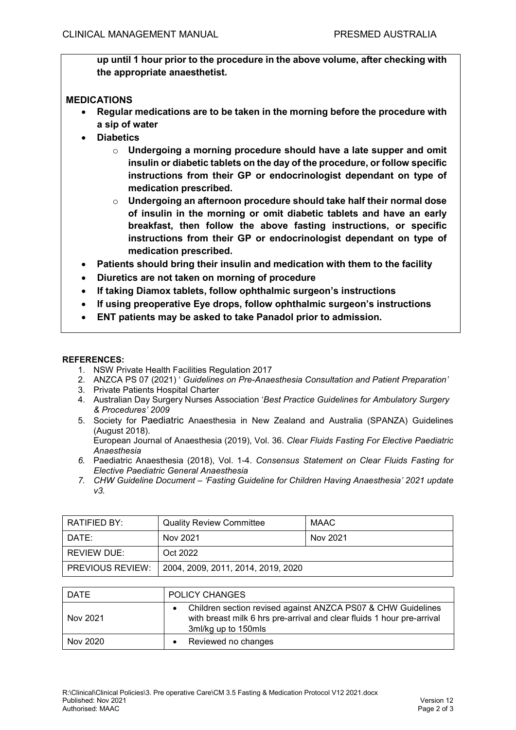**up until 1 hour prior to the procedure in the above volume, after checking with the appropriate anaesthetist.** 

### **MEDICATIONS**

- **Regular medications are to be taken in the morning before the procedure with a sip of water**
- **Diabetics**
	- o **Undergoing a morning procedure should have a late supper and omit insulin or diabetic tablets on the day of the procedure, or follow specific instructions from their GP or endocrinologist dependant on type of medication prescribed.**
	- o **Undergoing an afternoon procedure should take half their normal dose of insulin in the morning or omit diabetic tablets and have an early breakfast, then follow the above fasting instructions, or specific instructions from their GP or endocrinologist dependant on type of medication prescribed.**
- **Patients should bring their insulin and medication with them to the facility**
- **Diuretics are not taken on morning of procedure**
- **If taking Diamox tablets, follow ophthalmic surgeon's instructions**
- **If using preoperative Eye drops, follow ophthalmic surgeon's instructions**
- **ENT patients may be asked to take Panadol prior to admission.**

#### **REFERENCES:**

- 1. NSW Private Health Facilities Regulation 2017
- 2. ANZCA PS 07 (2021) ' *Guidelines on Pre-Anaesthesia Consultation and Patient Preparation'*
- 3. Private Patients Hospital Charter
- 4. Australian Day Surgery Nurses Association '*Best Practice Guidelines for Ambulatory Surgery & Procedures' 2009*
- 5. Society for Paediatric Anaesthesia in New Zealand and Australia (SPANZA) Guidelines (August 2018).

European Journal of Anaesthesia (2019), Vol. 36. *Clear Fluids Fasting For Elective Paediatric Anaesthesia*

- *6.* Paediatric Anaesthesia (2018), Vol. 1-4. *Consensus Statement on Clear Fluids Fasting for Elective Paediatric General Anaesthesia*
- *7. CHW Guideline Document – 'Fasting Guideline for Children Having Anaesthesia' 2021 update v3.*

| RATIFIED BY:            | <b>Quality Review Committee</b>    | MAAC     |
|-------------------------|------------------------------------|----------|
| DATE:                   | Nov 2021                           | Nov 2021 |
| REVIEW DUE:             | Oct 2022                           |          |
| <b>PREVIOUS REVIEW:</b> | 2004, 2009, 2011, 2014, 2019, 2020 |          |

| <b>DATE</b> | <b>POLICY CHANGES</b>                                                                                                                                         |
|-------------|---------------------------------------------------------------------------------------------------------------------------------------------------------------|
| Nov 2021    | Children section revised against ANZCA PS07 & CHW Guidelines<br>with breast milk 6 hrs pre-arrival and clear fluids 1 hour pre-arrival<br>3ml/kg up to 150mls |
| Nov 2020    | Reviewed no changes                                                                                                                                           |